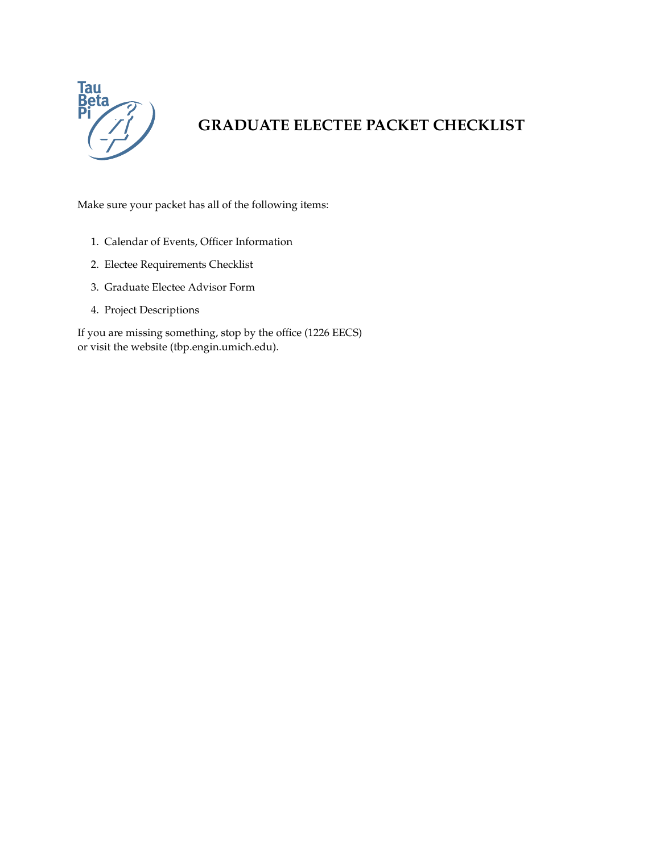

# **GRADUATE ELECTEE PACKET CHECKLIST**

Make sure your packet has all of the following items:

- 1. Calendar of Events, Officer Information
- 2. Electee Requirements Checklist
- 3. Graduate Electee Advisor Form
- 4. Project Descriptions

If you are missing something, stop by the office (1226 EECS) or visit the website (tbp.engin.umich.edu).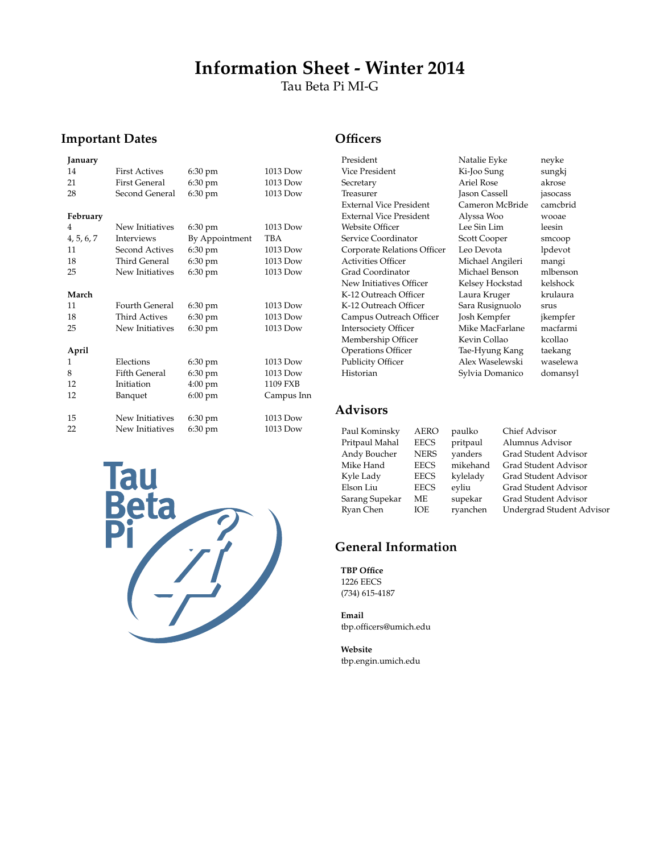# **Information Sheet - Winter 2014**

Tau Beta Pi MI-G

#### **Important Dates**

#### **January** 14 First Actives 6:30 pm 1013 Dow 21 First General 6:30 pm 1013 Dow 28 Second General 6:30 pm 1013 Dow **February** 4 New Initiatives 6:30 pm 1013 Dow 4, 5, 6, 7 Interviews By Appointment TBA 11 Second Actives 6:30 pm 1013 Dow 18 Third General 6:30 pm 1013 Dow 25 New Initiatives 6:30 pm 1013 Dow **March** 11 Fourth General 6:30 pm 1013 Dow<br>18 Third Actives 6:30 pm 1013 Dow 18 Third Actives 6:30 pm 1013 Dow<br>25 New Initiatives 6:30 pm 1013 Dow New Initiatives 6:30 pm **April** 1 Elections 6:30 pm 1013 Dow 8 Fifth General 6:30 pm 1013 Dow<br>12 Initiation 4:00 pm 1109 FXB Initiation<br>Banquet 12 Banquet 6:00 pm Campus Inn 15 New Initiatives 6:30 pm 1013 Dow 22 New Initiatives 6:30 pm 1013 Dow



#### **Officers**

President Natalie Eyke neyke Vice President Ki-Joo Sung sungkj Secretary **Ariel Rose** akrose Treasurer **Iason Cassell** jasocass External Vice President Cameron McBride camcbrid External Vice President Alyssa Woo wooae Website Officer Lee Sin Lim leesin Service Coordinator Scott Cooper smcoop Corporate Relations Officer Leo Devota lpdevot Activities Officer Michael Angileri mangi Grad Coordinator Michael Benson mlbenson New Initiatives Officer Kelsey Hockstad K-12 Outreach Officer Laura Kruger krulaura K-12 Outreach Officer Sara Rusignuolo srus Campus Outreach Officer Josh Kempfer jkempfer Intersociety Officer Mike MacFarlane macfarmi Membership Officer Kevin Collao kcollao Operations Officer Tae-Hyung Kang taekang Publicity Officer Alex Waselewski waselewa Historian Sylvia Domanico domansyl

### **Advisors**

| Paul Kominsky  | <b>AERO</b> | paulko   | Chief Advisor             |
|----------------|-------------|----------|---------------------------|
| Pritpaul Mahal | <b>EECS</b> | pritpaul | Alumnus Advisor           |
| Andy Boucher   | <b>NERS</b> | yanders  | Grad Student Advisor      |
| Mike Hand      | <b>EECS</b> | mikehand | Grad Student Advisor      |
| Kyle Lady      | EECS        | kylelady | Grad Student Advisor      |
| Elson Liu      | <b>EECS</b> | eyliu    | Grad Student Advisor      |
| Sarang Supekar | МE          | supekar  | Grad Student Advisor      |
| Ryan Chen      | IOE         | ryanchen | Undergrad Student Advisor |

#### **General Information**

**TBP Office** 1226 EECS (734) 615-4187

**Email** tbp.officers@umich.edu

**Website** tbp.engin.umich.edu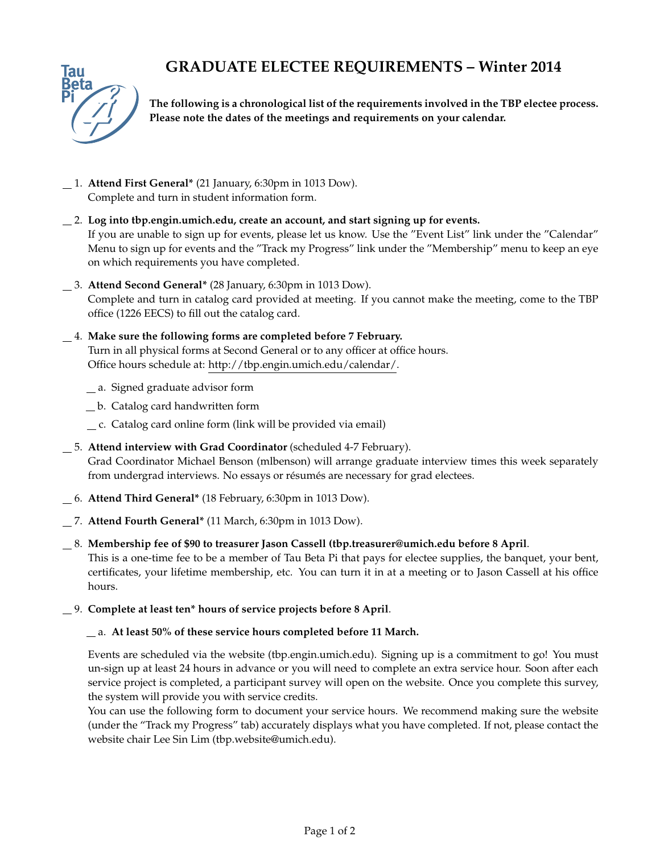## **GRADUATE ELECTEE REQUIREMENTS – Winter 2014**



**The following is a chronological list of the requirements involved in the TBP electee process. Please note the dates of the meetings and requirements on your calendar.**

- 1. **Attend First General\*** (21 January, 6:30pm in 1013 Dow). Complete and turn in student information form.
- 2. **Log into tbp.engin.umich.edu, create an account, and start signing up for events.** If you are unable to sign up for events, please let us know. Use the "Event List" link under the "Calendar" Menu to sign up for events and the "Track my Progress" link under the "Membership" menu to keep an eye on which requirements you have completed.
- 3. **Attend Second General\*** (28 January, 6:30pm in 1013 Dow). Complete and turn in catalog card provided at meeting. If you cannot make the meeting, come to the TBP office (1226 EECS) to fill out the catalog card.
- 4. **Make sure the following forms are completed before 7 February.** Turn in all physical forms at Second General or to any officer at office hours. Office hours schedule at: http://tbp.engin.umich.edu/calendar/.
	- a. Signed graduate advisor form
	- b. Catalog card handwritten form
	- c. Catalog card online form (link will be provided via email)
- 5. **Attend interview with Grad Coordinator** (scheduled 4-7 February). Grad Coordinator Michael Benson (mlbenson) will arrange graduate interview times this week separately from undergrad interviews. No essays or résumés are necessary for grad electees.
- 6. **Attend Third General\*** (18 February, 6:30pm in 1013 Dow).
- 7. **Attend Fourth General\*** (11 March, 6:30pm in 1013 Dow).
- 8. **Membership fee of \$90 to treasurer Jason Cassell (tbp.treasurer@umich.edu before 8 April**. This is a one-time fee to be a member of Tau Beta Pi that pays for electee supplies, the banquet, your bent, certificates, your lifetime membership, etc. You can turn it in at a meeting or to Jason Cassell at his office hours.
- 9. **Complete at least ten\* hours of service projects before 8 April**.

#### a. **At least 50% of these service hours completed before 11 March.**

Events are scheduled via the website (tbp.engin.umich.edu). Signing up is a commitment to go! You must un-sign up at least 24 hours in advance or you will need to complete an extra service hour. Soon after each service project is completed, a participant survey will open on the website. Once you complete this survey, the system will provide you with service credits.

You can use the following form to document your service hours. We recommend making sure the website (under the "Track my Progress" tab) accurately displays what you have completed. If not, please contact the website chair Lee Sin Lim (tbp.website@umich.edu).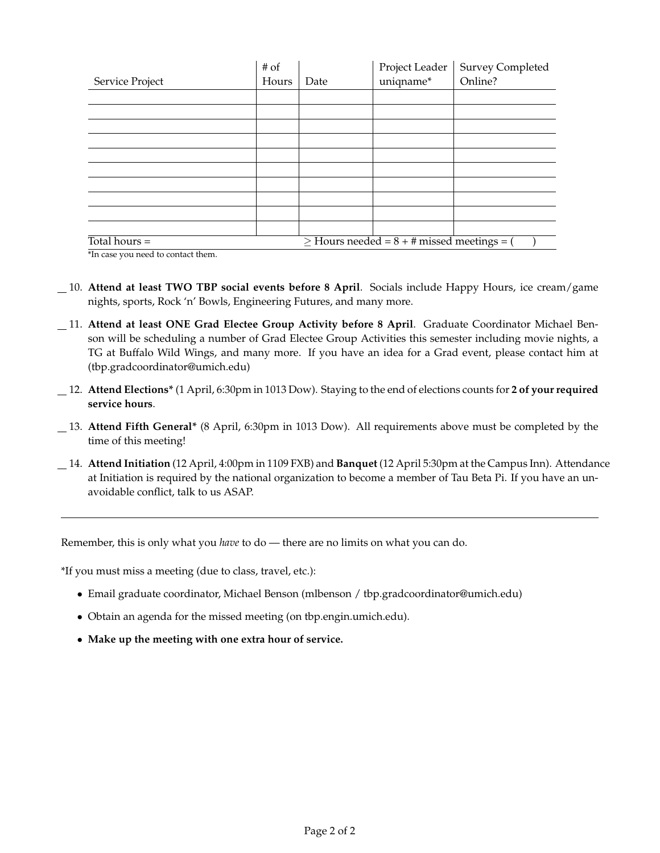|                                                                         | # of                                           |      | Project Leader | <b>Survey Completed</b> |  |
|-------------------------------------------------------------------------|------------------------------------------------|------|----------------|-------------------------|--|
| Service Project                                                         | Hours                                          | Date | uniqname*      | Online?                 |  |
|                                                                         |                                                |      |                |                         |  |
|                                                                         |                                                |      |                |                         |  |
|                                                                         |                                                |      |                |                         |  |
|                                                                         |                                                |      |                |                         |  |
|                                                                         |                                                |      |                |                         |  |
|                                                                         |                                                |      |                |                         |  |
|                                                                         |                                                |      |                |                         |  |
|                                                                         |                                                |      |                |                         |  |
|                                                                         |                                                |      |                |                         |  |
|                                                                         |                                                |      |                |                         |  |
| Total hours $=$<br>the contract of the contract of the<br>$\sim$ $\sim$ | $\ge$ Hours needed = 8 + # missed meetings = ( |      |                |                         |  |

\*In case you need to contact them.

- 10. **Attend at least TWO TBP social events before 8 April**. Socials include Happy Hours, ice cream/game nights, sports, Rock 'n' Bowls, Engineering Futures, and many more.
- 11. **Attend at least ONE Grad Electee Group Activity before 8 April**. Graduate Coordinator Michael Benson will be scheduling a number of Grad Electee Group Activities this semester including movie nights, a TG at Buffalo Wild Wings, and many more. If you have an idea for a Grad event, please contact him at (tbp.gradcoordinator@umich.edu)
- 12. **Attend Elections\*** (1 April, 6:30pm in 1013 Dow). Staying to the end of elections counts for **2 of your required service hours**.
- 13. **Attend Fifth General\*** (8 April, 6:30pm in 1013 Dow). All requirements above must be completed by the time of this meeting!
- 14. **Attend Initiation** (12 April, 4:00pm in 1109 FXB) and **Banquet** (12 April 5:30pm at the Campus Inn). Attendance at Initiation is required by the national organization to become a member of Tau Beta Pi. If you have an unavoidable conflict, talk to us ASAP.

Remember, this is only what you *have* to do — there are no limits on what you can do.

\*If you must miss a meeting (due to class, travel, etc.):

- Email graduate coordinator, Michael Benson (mlbenson / tbp.gradcoordinator@umich.edu)
- Obtain an agenda for the missed meeting (on tbp.engin.umich.edu).
- **Make up the meeting with one extra hour of service.**